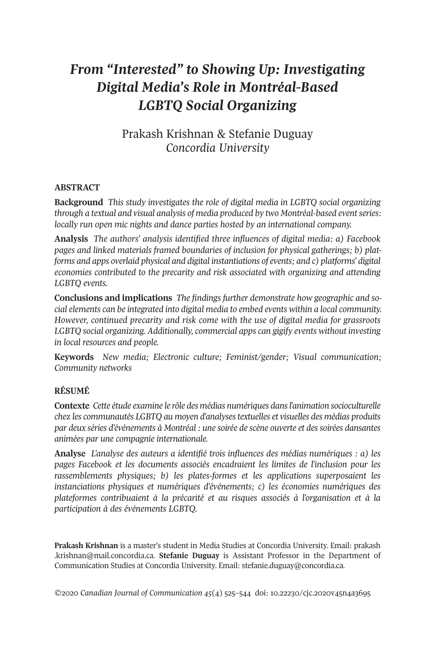# *From "Interested" to Showing Up: Investigating Digital Media's Role in Montréal-Based LGBTQ Social Organizing*

# Prakash Krishnan & Stefanie Duguay *Concordia University*

# **ABSTRACT**

**Background** *This study investigates the role of digital media in LGBTQ social organizing through a textual and visual analysis of media produced by two Montréal-based eventseries: locally run open mic nights and dance parties hosted by an international company.*

**Analysis** *The authors' analysis identified three influences of digital media: a) Facebook pages and linked materials framed boundaries of inclusion for physical gatherings; b) platforms and apps overlaid physical and digital instantiations of events; and c) platforms' digital economies contributed to the precarity and risk associated with organizing and attending LGBTQ events.*

**Conclusions and implications** *The findings further demonstrate how geographic and social elements can be integrated into digital media to embed events within a local community. However, continued precarity and risk come with the use of digital media for grassroots LGBTQ social organizing. Additionally, commercial apps can gigify events without investing in local resources and people.*

**Keywords** *New media; Electronic culture; Feminist/gender; Visual communication; Community networks*

# **RÉSUMÉ**

**Contexte** *Cette étude examine le rôle des médias numériques dansl'animation socioculturelle chez les communautés LGBTQ au moyen d'analysestextuelles et visuelles des médias produits par deux séries d'événements à Montréal : une soirée de scène ouverte et dessoirées dansantes animées par une compagnie internationale.*

**Analyse** *L'analyse des auteurs a identifié trois influences des médias numériques : a) les pages Facebook et les documents associés encadraient les limites de l'inclusion pour les rassemblements physiques; b) les plates-formes et les applications superposaient les instanciations physiques et numériques d'événements; c) les économies numériques des plateformes contribuaient à la précarité et au risques associés à l'organisation et à la participation à des événements LGBTQ.*

**Prakash Krishnan** is a master's student in Media Studies at Concordia University. Email: [prakash](mailto:prakash.krishnan@mail.concordia.ca) [.krishnan@mail.concordia.ca.](mailto:prakash.krishnan@mail.concordia.ca) **Stefanie Duguay** is Assistant Professor in the Department of Communication Studies at Concordia University. Email: [stefanie.duguay@concordia.ca.](mailto:stefanie.duguay@concordia.ca)

*©*2020 *Canadian Journal of [Communication](http://www.cjc-online.ca) 45*(4) 424–444 doi: [10.22230/cjc.2020v44n4a3694](http://doi.org/10.22230/cjc.2020v45n4a3695)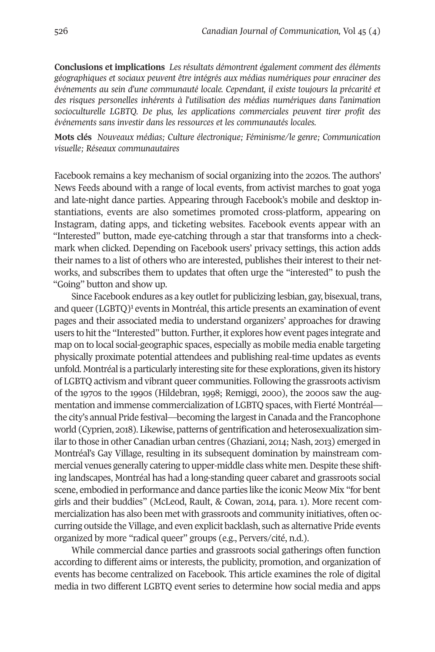**Conclusions et implications** *Les résultats démontrent également comment des éléments géographiques et sociaux peuvent être intégrés aux médias numériques pour enraciner des événements au sein d'une communauté locale. Cependant, il existe toujours la précarité et des risques personelles inhérents à l'utilisation des médias numériques dans l'animation socioculturelle LGBTQ. De plus, les applications commerciales peuvent tirer profit des événements sans investir dans les ressources et les communautés locales.*

**Mots clés** *Nouveaux médias; Culture électronique; Féminisme/le genre; Communication visuelle; Réseaux communautaires*

Facebook remains a key mechanism of social organizing into the 2020s. The authors' News Feeds abound with a range of local events, from activist marches to goat yoga and late-night dance parties. Appearing through Facebook's mobile and desktop instantiations, events are also sometimes promoted cross-platform, appearing on Instagram, dating apps, and ticketing websites. Facebook events appear with an "Interested" button, made eye-catching through a star that transforms into a checkmark when clicked. Depending on Facebook users' privacy settings, this action adds their names to a list of others who are interested, publishes their interest to their networks, and subscribes them to updates that often urge the "interested" to push the "Going" button and show up.

Since Facebook endures as a key outlet for publicizing lesbian, gay, bisexual, trans, and queer (LGBTO)<sup>1</sup> events in Montréal, this article presents an examination of event pages and their associated media to understand organizers' approaches for drawing users to hitthe "Interested" button. Further, it explores how event pages integrate and map on to local social-geographic spaces, especially as mobile media enable targeting physically proximate potential attendees and publishing real-time updates as events unfold. Montréal is a particularly interesting site forthese explorations, given its history of LGBTQ activism and vibrant queer communities. Following the grassroots activism of the 1970s to the 1990s (Hildebran, 1998; Remiggi, 2000), the 2000s saw the augmentation and immense commercialization of LGBTQ spaces, with Fierté Montréal the city's annual Pride festival—becoming the largestin Canada and the Francophone world (Cyprien, 2018). Likewise, patterns of gentrification and heterosexualization similarto those in other Canadian urban centres (Ghaziani, 2014; Nash, 2013) emerged in Montréal's Gay Village, resulting in its subsequent domination by mainstream commercial venues generally catering to upper-middle class white men. Despite these shifting landscapes, Montréal has had a long-standing queer cabaret and grassroots social scene, embodied in performance and dance parties like the iconic Meow Mix "for bent girls and their buddies" (McLeod, Rault, & Cowan, 2014, para. 1). More recent commercialization has also been met with grassroots and community initiatives, often occurring outside the Village, and even explicit backlash, such as alternative Pride events organized by more "radical queer" groups (e.g., Pervers/cité, n.d.).

While commercial dance parties and grassroots social gatherings often function according to different aims or interests, the publicity, promotion, and organization of events has become centralized on Facebook. This article examines the role of digital media in two different LGBTQ event series to determine how social media and apps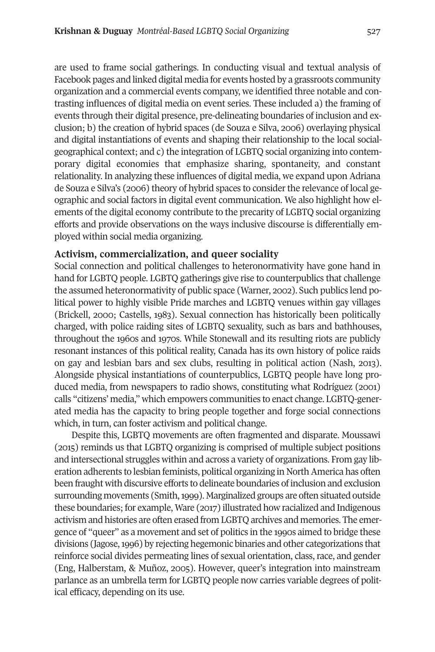are used to frame social gatherings. In conducting visual and textual analysis of Facebook pages and linked digital media for events hosted by a grassroots community organization and a commercial events company, we identified three notable and contrasting influences of digital media on event series. These included a) the framing of events through their digital presence, pre-delineating boundaries of inclusion and exclusion; b) the creation of hybrid spaces (de Souza e Silva, 2006) overlaying physical and digital instantiations of events and shaping their relationship to the local socialgeographical context; and c) the integration of LGBTQ social organizing into contemporary digital economies that emphasize sharing, spontaneity, and constant relationality. In analyzing these influences of digital media, we expand upon Adriana de Souza e Silva's (2006) theory of hybrid spaces to consider the relevance of local geographic and social factors in digital event communication. We also highlight how elements of the digital economy contribute to the precarity of LGBTQ social organizing efforts and provide observations on the ways inclusive discourse is differentially employed within social media organizing.

# **Activism, commercialization, and queer sociality**

Social connection and political challenges to heteronormativity have gone hand in hand for LGBTQ people. LGBTQ gatherings give rise to counterpublics that challenge the assumed heteronormativity of public space (Warner, 2002). Such publics lend political power to highly visible Pride marches and LGBTQ venues within gay villages (Brickell, 2000; Castells, 1983). Sexual connection has historically been politically charged, with police raiding sites of LGBTQ sexuality, such as bars and bathhouses, throughout the 1960s and 1970s. While Stonewall and its resulting riots are publicly resonant instances of this political reality, Canada has its own history of police raids on gay and lesbian bars and sex clubs, resulting in political action (Nash, 2013). Alongside physical instantiations of counterpublics, LGBTQ people have long produced media, from newspapers to radio shows, constituting what Rodríguez (2001) calls "citizens' media," which empowers communities to enact change. LGBTQ-generated media has the capacity to bring people together and forge social connections which, in turn, can foster activism and political change.

Despite this, LGBTQ movements are often fragmented and disparate. Moussawi (2014) reminds us that LGBTQ organizing is comprised of multiple subject positions and intersectional struggles within and across a variety of organizations. From gay liberation adherents to lesbian feminists, political organizing in North America has often been fraught with discursive efforts to delineate boundaries of inclusion and exclusion surrounding movements (Smith, 1999). Marginalized groups are often situated outside these boundaries; for example, Ware (2017) illustrated how racialized and Indigenous activism and histories are often erased from LGBTQ archives and memories. The emergence of "queer" as a movement and set of politics in the 1990s aimed to bridge these divisions (Jagose,1996) by rejecting hegemonic binaries and other categorizations that reinforce social divides permeating lines of sexual orientation, class, race, and gender (Eng, Halberstam, & Muñoz, 2004). However, queer's integration into mainstream parlance as an umbrella term for LGBTQ people now carries variable degrees of political efficacy, depending on its use.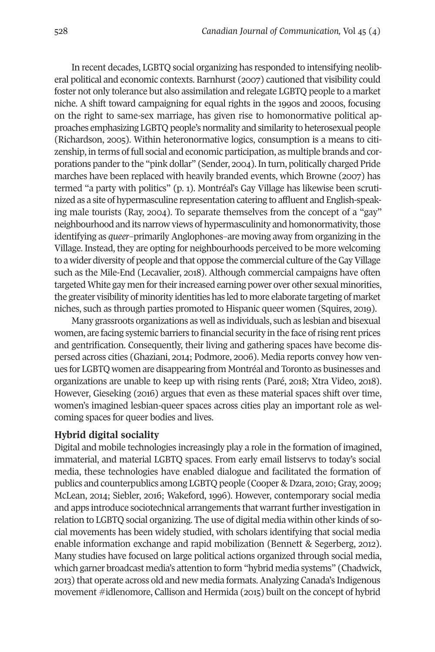In recent decades, LGBTQ social organizing has responded to intensifying neoliberal political and economic contexts. Barnhurst (2007) cautioned that visibility could foster not only tolerance but also assimilation and relegate LGBTQ people to a market niche. A shift toward campaigning for equal rights in the 1990s and 2000s, focusing on the right to same-sex marriage, has given rise to homonormative political approaches emphasizing LGBTQ people's normality and similarity to heterosexual people (Richardson, 2004). Within heteronormative logics, consumption is a means to citizenship, in terms of full social and economic participation, as multiple brands and corporations pander to the "pink dollar" (Sender, 2004). In turn, politically charged Pride marches have been replaced with heavily branded events, which Browne (2007) has termed "a party with politics" (p. 1). Montréal's Gay Village has likewise been scrutinized as a site of hypermasculine representation catering to affluent and English-speaking male tourists (Ray, 2004). To separate themselves from the concept of a "gay" neighbourhood and its narrow views of hypermasculinity and homonormativity, those identifying as *queer*–primarily Anglophones–are moving away from organizing in the Village. Instead, they are opting for neighbourhoods perceived to be more welcoming to a wider diversity of people and that oppose the commercial culture of the Gay Village such as the Mile-End (Lecavalier, 2018). Although commercial campaigns have often targeted White gay men for their increased earning power over other sexual minorities, the greater visibility of minority identities has led to more elaborate targeting of market niches, such as through parties promoted to Hispanic queer women (Squires, 2019).

Many grassroots organizations as well as individuals, such as lesbian and bisexual women, are facing systemic barriers to financial security in the face ofrising rent prices and gentrification. Consequently, their living and gathering spaces have become dispersed across cities (Ghaziani, 2014; Podmore, 2006). Media reports convey how venues for LGBTQ women are disappearing from Montréal and Toronto as businesses and organizations are unable to keep up with rising rents (Paré, 2018; Xtra Video, 2018). However, Gieseking (2016) argues that even as these material spaces shift over time, women's imagined lesbian-queer spaces across cities play an important role as welcoming spaces for queer bodies and lives.

# **Hybrid digital sociality**

Digital and mobile technologies increasingly play a role in the formation of imagined, immaterial, and material LGBTQ spaces. From early email listservs to today's social media, these technologies have enabled dialogue and facilitated the formation of publics and counterpublics among LGBTQ people (Cooper & Dzara, 2010; Gray, 2009; McLean, 2014; Siebler, 2016; Wakeford, 1996). However, contemporary social media and apps introduce sociotechnical arrangements that warrant further investigation in relation to LGBTQ social organizing. The use of digital media within other kinds of social movements has been widely studied, with scholars identifying that social media enable information exchange and rapid mobilization (Bennett & Segerberg, 2012). Many studies have focused on large political actions organized through social media, which garner broadcast media's attention to form "hybrid media systems" (Chadwick, 2013) that operate across old and new media formats. Analyzing Canada's Indigenous movement #idlenomore, Callison and Hermida (2014) built on the concept of hybrid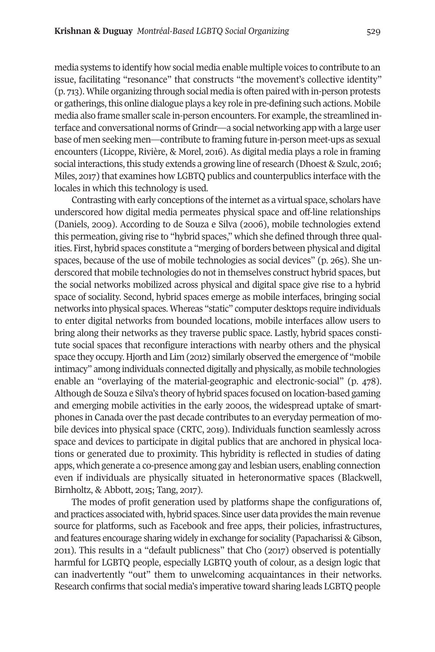media systems to identify how social media enable multiple voices to contribute to an issue, facilitating "resonance" that constructs "the movement's collective identity" (p. 713). While organizing through social media is often paired with in-person protests or gatherings, this online dialogue plays a key role in pre-defining such actions. Mobile media also frame smaller scale in-person encounters. For example, the streamlined interface and conversational norms ofGrindr—a social networking app with a large user base of men seeking men—contribute to framing future in-person meet-ups as sexual encounters (Licoppe, Rivière, & Morel, 2016). As digital media plays a role in framing social interactions, this study extends a growing line of research (Dhoest & Szulc, 2016; Miles, 2017) that examines how LGBTQ publics and counterpublics interface with the locales in which this technology is used.

Contrasting with early conceptions of the internet as a virtual space, scholars have underscored how digital media permeates physical space and off-line relationships (Daniels, 2009). According to de Souza e Silva (2006), mobile technologies extend this permeation, giving rise to "hybrid spaces," which she defined through three qualities. First, hybrid spaces constitute a "merging of borders between physical and digital spaces, because of the use of mobile technologies as social devices" (p. 265). She underscored that mobile technologies do not in themselves construct hybrid spaces, but the social networks mobilized across physical and digital space give rise to a hybrid space of sociality. Second, hybrid spaces emerge as mobile interfaces, bringing social networks into physical spaces. Whereas "static" computer desktops require individuals to enter digital networks from bounded locations, mobile interfaces allow users to bring along their networks as they traverse public space. Lastly, hybrid spaces constitute social spaces that reconfigure interactions with nearby others and the physical space they occupy. Hjorth and Lim (2012) similarly observed the emergence of "mobile intimacy" among individuals connected digitally and physically, as mobile technologies enable an "overlaying of the material-geographic and electronic-social" (p. 478). Although de Souza e Silva's theory of hybrid spaces focused on location-based gaming and emerging mobile activities in the early 2000s, the widespread uptake of smartphones in Canada over the past decade contributes to an everyday permeation of mobile devices into physical space (CRTC, 2019). Individuals function seamlessly across space and devices to participate in digital publics that are anchored in physical locations or generated due to proximity. This hybridity is reflected in studies of dating apps, which generate a co-presence among gay and lesbian users, enabling connection even if individuals are physically situated in heteronormative spaces (Blackwell, Birnholtz, & Abbott, 2015; Tang, 2017).

The modes of profit generation used by platforms shape the configurations of, and practices associated with, hybrid spaces. Since user data provides the main revenue source for platforms, such as Facebook and free apps, their policies, infrastructures, and features encourage sharing widely in exchange for sociality (Papacharissi & Gibson, 2011). This results in a "default publicness" that Cho (2017) observed is potentially harmful for LGBTQ people, especially LGBTQ youth of colour, as a design logic that can inadvertently "out" them to unwelcoming acquaintances in their networks. Research confirms that social media's imperative toward sharing leads LGBTQ people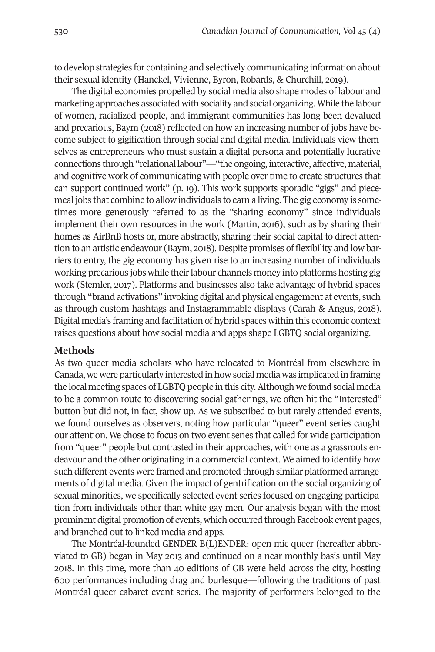to develop strategies for containing and selectively communicating information about their sexual identity (Hanckel, Vivienne, Byron, Robards, & Churchill, 2019).

The digital economies propelled by social media also shape modes of labour and marketing approaches associated with sociality and social organizing. While the labour of women, racialized people, and immigrant communities has long been devalued and precarious, Baym (2018) reflected on how an increasing number of jobs have become subject to gigification through social and digital media. Individuals view themselves as entrepreneurs who must sustain a digital persona and potentially lucrative connections through "relational labour"—"the ongoing, interactive, affective, material, and cognitive work of communicating with people overtime to create structures that can support continued work" (p. 19). This work supports sporadic "gigs" and piecemeal jobs that combine to allow individuals to earn a living. The gig economy is sometimes more generously referred to as the "sharing economy" since individuals implement their own resources in the work (Martin, 2016), such as by sharing their homes as AirBnB hosts or, more abstractly, sharing their social capital to direct attention to an artistic endeavour (Baym, 2018). Despite promises of flexibility and low barriers to entry, the gig economy has given rise to an increasing number of individuals working precarious jobs while their labour channels money into platforms hosting gig work (Stemler, 2017). Platforms and businesses also take advantage of hybrid spaces through "brand activations" invoking digital and physical engagement at events, such as through custom hashtags and Instagrammable displays (Carah & Angus, 2018). Digital media's framing and facilitation of hybrid spaces within this economic context raises questions about how social media and apps shape LGBTQ social organizing.

### **Methods**

As two queer media scholars who have relocated to Montréal from elsewhere in Canada, we were particularly interested in how social media was implicated in framing the local meeting spaces of LGBTQ people in this city.Although we found social media to be a common route to discovering social gatherings, we often hit the "Interested" button but did not, in fact, show up. As we subscribed to but rarely attended events, we found ourselves as observers, noting how particular "queer" event series caught our attention. We chose to focus on two event series that called for wide participation from "queer" people but contrasted in their approaches, with one as a grassroots endeavour and the other originating in a commercial context. We aimed to identify how such different events were framed and promoted through similar platformed arrangements of digital media. Given the impact of gentrification on the social organizing of sexual minorities, we specifically selected event series focused on engaging participation from individuals other than white gay men. Our analysis began with the most prominent digital promotion of events, which occurred through Facebook event pages, and branched out to linked media and apps.

The Montréal-founded GENDER B(L)ENDER: open mic queer (hereafter abbreviated to GB) began in May 2013 and continued on a near monthly basis until May 2018. In this time, more than 40 editions of GB were held across the city, hosting 600 performances including drag and burlesque—following the traditions of past Montréal queer cabaret event series. The majority of performers belonged to the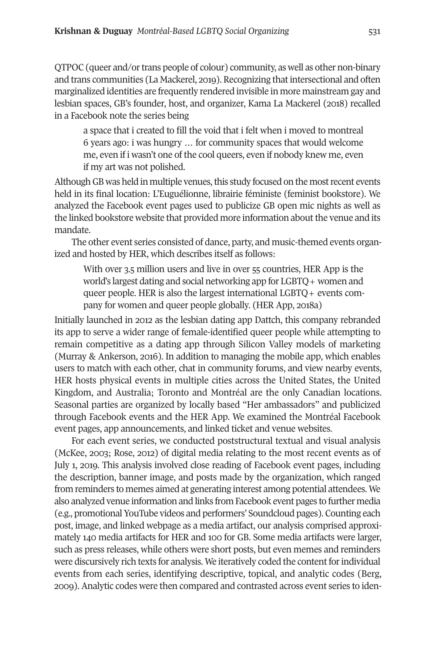QTPOC (queer and/ortrans people of colour) community, as well as other non-binary and trans communities (La Mackerel, 2019). Recognizing thatintersectional and often marginalized identities are frequently rendered invisible in more mainstream gay and lesbian spaces, GB's founder, host, and organizer, Kama La Mackerel (2018) recalled in a Facebook note the series being

a space that i created to fill the void that i felt when i moved to montreal 6 years ago: i was hungry … for community spaces that would welcome me, even if i wasn't one of the cool queers, even if nobody knew me, even if my art was not polished.

Although GB was held in multiple venues, this study focused on the most recent events held in its final location: L'Euguélionne, librairie féministe (feminist bookstore). We analyzed the Facebook event pages used to publicize GB open mic nights as well as the linked bookstore website that provided more information about the venue and its mandate.

The other event series consisted of dance, party, and music-themed events organized and hosted by HER, which describes itself as follows:

With over 3.5 million users and live in over 55 countries, HER App is the world's largest dating and social networking app for LGBTQ+ women and queer people. HER is also the largest international LGBTQ+ events company for women and queer people globally. (HER App, 2018a)

Initially launched in 2012 as the lesbian dating app Dattch, this company rebranded its app to serve a wider range of female-identified queer people while attempting to remain competitive as a dating app through Silicon Valley models of marketing (Murray & Ankerson, 2016). In addition to managing the mobile app, which enables users to match with each other, chat in community forums, and view nearby events, HER hosts physical events in multiple cities across the United States, the United Kingdom, and Australia; Toronto and Montréal are the only Canadian locations. Seasonal parties are organized by locally based "Her ambassadors" and publicized through Facebook events and the HER App. We examined the Montréal Facebook event pages, app announcements, and linked ticket and venue websites.

For each event series, we conducted poststructural textual and visual analysis (McKee, 2003; Rose, 2012) of digital media relating to the most recent events as of July 1, 2019. This analysis involved close reading of Facebook event pages, including the description, banner image, and posts made by the organization, which ranged from reminders to memes aimed at generating interest among potential attendees. We also analyzed venue information and links from Facebook event pages to further media (e.g., promotionalYouTube videos and performers' Soundcloud pages). Counting each post, image, and linked webpage as a media artifact, our analysis comprised approximately 140 media artifacts for HER and 100 for GB. Some media artifacts were larger, such as press releases, while others were short posts, but even memes and reminders were discursively rich texts for analysis. We iteratively coded the content for individual events from each series, identifying descriptive, topical, and analytic codes (Berg, 2009). Analytic codes were then compared and contrasted across event series to iden-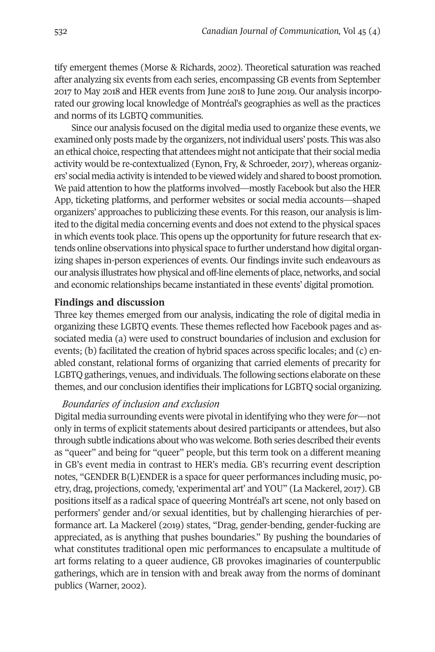tify emergent themes (Morse & Richards, 2002). Theoretical saturation was reached after analyzing six events from each series, encompassing GB events from September 2017 to May 2018 and HER events from June 2018 to June 2019. Our analysis incorporated our growing local knowledge of Montréal's geographies as well as the practices and norms of its LGBTQ communities.

Since our analysis focused on the digital media used to organize these events, we examined only posts made by the organizers, notindividual users' posts. This was also an ethical choice, respecting that attendees might not anticipate that their social media activity would be re-contextualized (Eynon, Fry, & Schroeder, 2017), whereas organizers' social media activity is intended to be viewed widely and shared to boost promotion. We paid attention to how the platforms involved—mostly Facebook but also the HER App, ticketing platforms, and performer websites or social media accounts—shaped organizers' approaches to publicizing these events. For this reason, our analysis is limited to the digital media concerning events and does not extend to the physical spaces in which events took place. This opens up the opportunity for future research that extends online observations into physical space to further understand how digital organizing shapes in-person experiences of events. Our findings invite such endeavours as our analysis illustrates how physical and off-line elements of place, networks, and social and economic relationships became instantiated in these events' digital promotion.

# **Findings and discussion**

Three key themes emerged from our analysis, indicating the role of digital media in organizing these LGBTQ events. These themes reflected how Facebook pages and associated media (a) were used to construct boundaries of inclusion and exclusion for events; (b) facilitated the creation of hybrid spaces across specific locales; and (c) enabled constant, relational forms of organizing that carried elements of precarity for LGBTQ gatherings, venues, and individuals. The following sections elaborate on these themes, and our conclusion identifies their implications for LGBTQ social organizing.

# *Boundaries of inclusion and exclusion*

Digital media surrounding events were pivotal in identifying who they were *for*—not only in terms of explicit statements about desired participants or attendees, but also through subtle indications about who was welcome. Both series described their events as "queer" and being for "queer" people, but this term took on a different meaning in GB's event media in contrast to HER's media. GB's recurring event description notes, "GENDER B(L)ENDER is a space for queer performances including music, poetry, drag, projections, comedy, 'experimental art' and YOU" (La Mackerel, 2017). GB positions itself as a radical space of queering Montréal's art scene, not only based on performers' gender and/or sexual identities, but by challenging hierarchies of performance art. La Mackerel (2019) states, "Drag, gender-bending, gender-fucking are appreciated, as is anything that pushes boundaries." By pushing the boundaries of what constitutes traditional open mic performances to encapsulate a multitude of art forms relating to a queer audience, GB provokes imaginaries of counterpublic gatherings, which are in tension with and break away from the norms of dominant publics (Warner, 2002).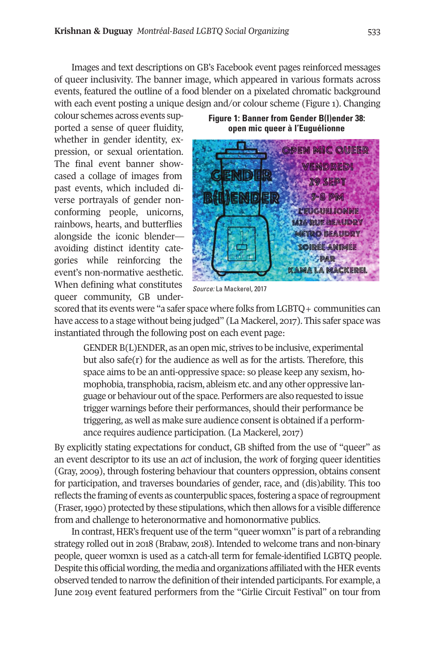Images and text descriptions on GB's Facebook event pages reinforced messages of queer inclusivity. The banner image, which appeared in various formats across events, featured the outline of a food blender on a pixelated chromatic background with each event posting a unique design and/or colour scheme (Figure 1). Changing

colour schemes across events supported a sense of queer fluidity, whether in gender identity, expression, or sexual orientation. The final event banner showcased a collage of images from past events, which included diverse portrayals of gender nonconforming people, unicorns, rainbows, hearts, and butterflies alongside the iconic blender avoiding distinct identity categories while reinforcing the event's non-normative aesthetic. When defining what constitutes queer community, GB under-

**Figure 1: Banner from Gender B(l)ender 38: open mic queer à l'Euguélionne**



*Source:* La Mackerel, 2017

scored that its events were "a safer space where folks from LGBTQ + communities can have access to a stage without being judged" (La Mackerel, 2017). This safer space was instantiated through the following post on each event page:

GENDER B(L)ENDER, as an open mic, strives to be inclusive, experimental but also safe(r) for the audience as well as for the artists. Therefore*,* this space aims to be an anti-oppressive space: so please keep any sexism, homophobia, transphobia, racism, ableism etc. and any other oppressive language or behaviour out of the space. Performers are also requested to issue trigger warnings before their performances, should their performance be triggering, as well as make sure audience consent is obtained if a performance requires audience participation. (La Mackerel, 2017)

By explicitly stating expectations for conduct, GB shifted from the use of "queer" as an event descriptor to its use an *act* of inclusion, the *work* of forging queer identities (Gray, 2009), through fostering behaviour that counters oppression, obtains consent for participation, and traverses boundaries of gender, race, and (dis)ability. This too reflects the framing of events as counterpublic spaces,fostering a space ofregroupment (Fraser,1990) protected by these stipulations, which then allows for a visible difference from and challenge to heteronormative and homonormative publics.

In contrast, HER's frequent use of the term "queer womxn" is part of a rebranding strategy rolled out in 2018 (Brabaw, 2018). Intended to welcome trans and non-binary people, queer womxn is used as a catch-all term for female-identified LGBTQ people. Despite this official wording, the media and organizations affiliated with the HER events observed tended to narrow the definition of their intended participants. For example, a June 2019 event featured performers from the "Girlie Circuit Festival" on tour from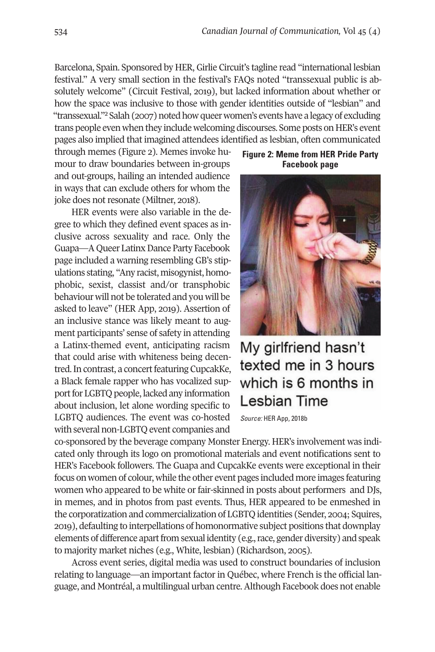Barcelona, Spain. Sponsored by HER, Girlie Circuit's tagline read "international lesbian festival." A very small section in the festival's FAQs noted "transsexual public is absolutely welcome" (Circuit Festival, 2019), but lacked information about whether or how the spa[ce](#page-16-1) was inclusive to those with gender identities outside of "lesbian" and "transsexual."<sup>2</sup> Salah (2007) noted how queer women's events have a legacy of excluding trans people even when they include welcoming discourses. Some posts on HER's event pages also implied that imagined attendees identified as lesbian, often communicated

through memes (Figure 2). Memes invoke humour to draw boundaries between in-groups and out-groups, hailing an intended audience in ways that can exclude others for whom the joke does not resonate (Miltner, 2018).

HER events were also variable in the degree to which they defined event spaces as inclusive across sexuality and race. Only the Guapa—A Queer Latinx Dance Party Facebook page included a warning resembling GB's stipulations stating, "Any racist, misogynist, homophobic, sexist, classist and/or transphobic behaviour will not be tolerated and you will be asked to leave" (HER App, 2019). Assertion of an inclusive stance was likely meant to augment participants' sense of safety in attending a Latinx-themed event, anticipating racism that could arise with whiteness being decentred. In contrast, a concert featuring CupcakKe, a Black female rapper who has vocalized support for LGBTQ people, lacked any information about inclusion, let alone wording specific to LGBTQ audiences. The event was co-hosted with several non-LGBTQ event companies and

**Figure 2: Meme from HER Pride Party Facebook page**



My girlfriend hasn't texted me in 3 hours which is 6 months in Lesbian Time

*Source:* HER App, 2018b

co-sponsored by the beverage company Monster Energy. HER's involvement was indicated only through its logo on promotional materials and event notifications sent to HER's Facebook followers. The Guapa and CupcakKe events were exceptional in their focus on women of colour, while the other event pages included more images featuring women who appeared to be white or fair-skinned in posts about performers and DJs, in memes, and in photos from past events. Thus, HER appeared to be enmeshed in the corporatization and commercialization of LGBTQ identities (Sender, 2004; Squires, 2019), defaulting to interpellations of homonormative subject positions that downplay elements of difference apart from sexual identity (e.g., race, gender diversity) and speak to majority market niches (e.g., White, lesbian) (Richardson, 2004).

Across event series, digital media was used to construct boundaries of inclusion relating to language—an important factor in Québec, where French is the official language, and Montréal, a multilingual urban centre.Although Facebook does not enable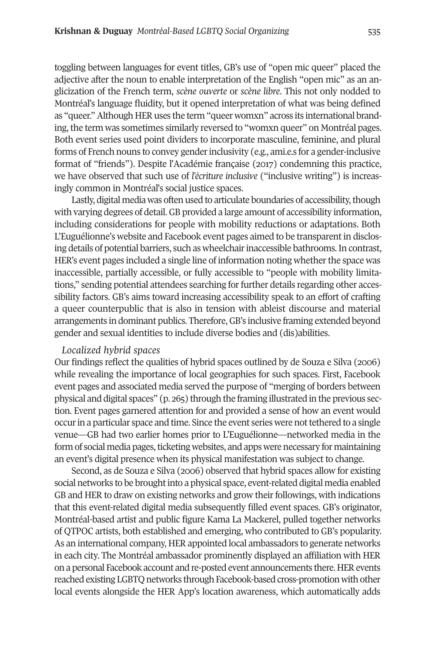toggling between languages for event titles, GB's use of "open mic queer" placed the adjective after the noun to enable interpretation of the English "open mic" as an anglicization of the French term, *scène ouverte* or *scène libre*. This not only nodded to Montréal's language fluidity, but it opened interpretation of what was being defined as "queer." Although HER uses the term "queer womxn" across its international branding, the term was sometimes similarly reversed to "womxn queer" on Montréal pages. Both event series used point dividers to incorporate masculine, feminine, and plural forms of French nouns to convey genderinclusivity (e.g., ami.e.s for a gender-inclusive format of "friends"). Despite l'Académie française (2017) condemning this practice, we have observed that such use of *l'écriture inclusive* ("inclusive writing") is increasingly common in Montréal's social justice spaces.

Lastly, digital media was often used to articulate boundaries of accessibility, though with varying degrees of detail.GB provided a large amount of accessibility information, including considerations for people with mobility reductions or adaptations. Both L'Euguélionne's website and Facebook event pages aimed to be transparent in disclosing details of potential barriers, such as wheelchair inaccessible bathrooms. In contrast, HER's event pages included a single line of information noting whether the space was inaccessible, partially accessible, or fully accessible to "people with mobility limitations," sending potential attendees searching for further details regarding other accessibility factors. GB's aims toward increasing accessibility speak to an effort of crafting a queer counterpublic that is also in tension with ableist discourse and material arrangements in dominant publics. Therefore,GB's inclusive framing extended beyond gender and sexual identities to include diverse bodies and (dis)abilities.

#### *Localized hybrid spaces*

Our findings reflect the qualities of hybrid spaces outlined by de Souza e Silva (2006) while revealing the importance of local geographies for such spaces. First, Facebook event pages and associated media served the purpose of "merging of borders between physical and digital spaces"  $(p, 265)$  through the framing illustrated in the previous section. Event pages garnered attention for and provided a sense of how an event would occur in a particular space and time. Since the event series were not tethered to a single venue—GB had two earlier homes prior to L'Euguélionne—networked media in the form of social media pages, ticketing websites, and apps were necessary for maintaining an event's digital presence when its physical manifestation was subject to change.

Second, as de Souza e Silva (2006) observed that hybrid spaces allow for existing social networks to be brought into a physical space, event-related digital media enabled GB and HER to draw on existing networks and grow their followings, with indications that this event-related digital media subsequently filled event spaces. GB's originator, Montréal-based artist and public figure Kama La Mackerel, pulled together networks of QTPOC artists, both established and emerging, who contributed to GB's popularity. As an international company, HER appointed local ambassadors to generate networks in each city. The Montréal ambassador prominently displayed an affiliation with HER on a personal Facebook account and re-posted event announcements there. HER events reached existing LGBTQ networks through Facebook-based cross-promotion with other local events alongside the HER App's location awareness, which automatically adds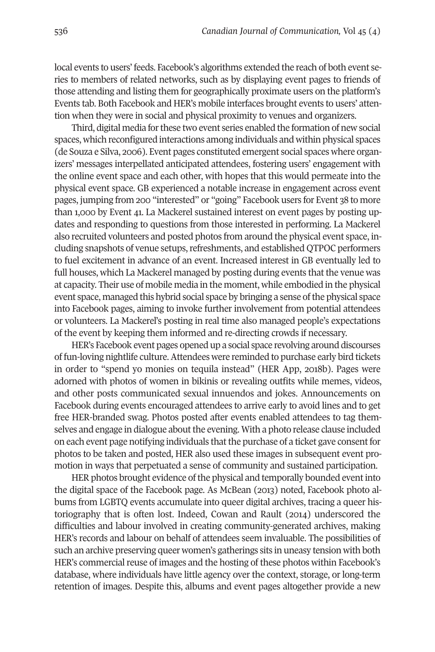local events to users' feeds. Facebook's algorithms extended the reach of both event series to members of related networks, such as by displaying event pages to friends of those attending and listing them for geographically proximate users on the platform's Events tab. Both Facebook and HER's mobile interfaces brought events to users' attention when they were in social and physical proximity to venues and organizers.

Third, digital media for these two event series enabled the formation of new social spaces, which reconfigured interactions among individuals and within physical spaces (de Souza e Silva, 2006). Event pages constituted emergent social spaces where organizers' messages interpellated anticipated attendees, fostering users' engagement with the online event space and each other, with hopes that this would permeate into the physical event space. GB experienced a notable increase in engagement across event pages, jumping from 200 "interested" or "going" Facebook users for Event 38 to more than 1,000 by Event 41. La Mackerel sustained interest on event pages by posting updates and responding to questions from those interested in performing. La Mackerel also recruited volunteers and posted photos from around the physical event space, including snapshots of venue setups, refreshments, and established QTPOC performers to fuel excitement in advance of an event. Increased interest in GB eventually led to full houses, which La Mackerel managed by posting during events that the venue was at capacity. Their use of mobile media in the moment, while embodied in the physical event space, managed this hybrid social space by bringing a sense ofthe physical space into Facebook pages, aiming to invoke further involvement from potential attendees or volunteers. La Mackerel's posting in real time also managed people's expectations of the event by keeping them informed and re-directing crowds if necessary.

HER's Facebook event pages opened up a social space revolving around discourses of fun-loving nightlife culture.Attendees were reminded to purchase early bird tickets in order to "spend yo monies on tequila instead" (HER App, 2018b). Pages were adorned with photos of women in bikinis or revealing outfits while memes, videos, and other posts communicated sexual innuendos and jokes. Announcements on Facebook during events encouraged attendees to arrive early to avoid lines and to get free HER-branded swag. Photos posted after events enabled attendees to tag themselves and engage in dialogue about the evening. With a photo release clause included on each event page notifying individuals that the purchase of a ticket gave consent for photos to be taken and posted, HER also used these images in subsequent event promotion in ways that perpetuated a sense of community and sustained participation.

HER photos brought evidence of the physical and temporally bounded event into the digital space of the Facebook page. As McBean (2013) noted, Facebook photo albums from LGBTQ events accumulate into queer digital archives, tracing a queer historiography that is often lost. Indeed, Cowan and Rault (2014) underscored the difficulties and labour involved in creating community-generated archives, making HER's records and labour on behalf of attendees seem invaluable. The possibilities of such an archive preserving queer women's gatherings sits in uneasy tension with both HER's commercial reuse of images and the hosting of these photos within Facebook's database, where individuals have little agency over the context, storage, or long-term retention of images. Despite this, albums and event pages altogether provide a new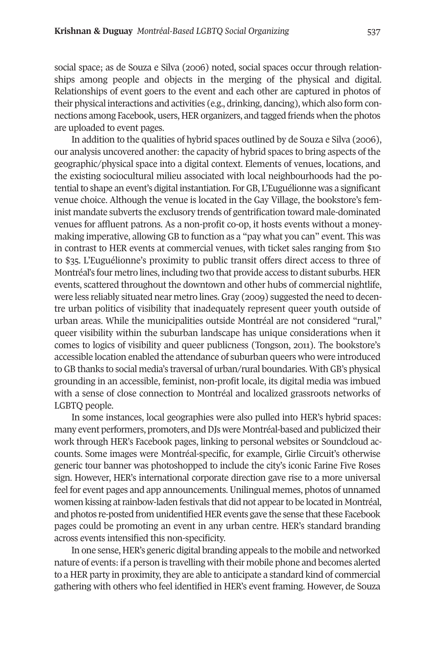social space; as de Souza e Silva (2006) noted, social spaces occur through relationships among people and objects in the merging of the physical and digital. Relationships of event goers to the event and each other are captured in photos of their physical interactions and activities (e.g., drinking, dancing), which also form connections among Facebook, users, HER organizers, and tagged friends when the photos are uploaded to event pages.

In addition to the qualities of hybrid spaces outlined by de Souza e Silva (2006), our analysis uncovered another: the capacity of hybrid spaces to bring aspects of the geographic/physical space into a digital context. Elements of venues, locations, and the existing sociocultural milieu associated with local neighbourhoods had the potential to shape an event's digital instantiation. For GB, L'Euguélionne was a significant venue choice. Although the venue is located in the Gay Village, the bookstore's feminist mandate subverts the exclusory trends of gentrification toward male-dominated venues for affluent patrons. As a non-profit co-op, it hosts events without a moneymaking imperative, allowing GB to function as a "pay what you can" event. This was in contrast to HER events at commercial venues, with ticket sales ranging from \$10 to \$35. L'Euguélionne's proximity to public transit offers direct access to three of Montréal's four metro lines, including two that provide access to distant suburbs. HER events, scattered throughout the downtown and other hubs of commercial nightlife, were less reliably situated near metro lines. Gray (2009) suggested the need to decentre urban politics of visibility that inadequately represent queer youth outside of urban areas. While the municipalities outside Montréal are not considered "rural," queer visibility within the suburban landscape has unique considerations when it comes to logics of visibility and queer publicness (Tongson, 2011). The bookstore's accessible location enabled the attendance of suburban queers who were introduced to GB thanks to social media's traversal of urban/rural boundaries. With GB's physical grounding in an accessible, feminist, non-profit locale, its digital media was imbued with a sense of close connection to Montréal and localized grassroots networks of LGBTQ people.

In some instances, local geographies were also pulled into HER's hybrid spaces: many event performers, promoters, andDJs were Montréal-based and publicized their work through HER's Facebook pages, linking to personal websites or Soundcloud accounts. Some images were Montréal-specific, for example, Girlie Circuit's otherwise generic tour banner was photoshopped to include the city's iconic Farine Five Roses sign. However, HER's international corporate direction gave rise to a more universal feel for event pages and app announcements. Unilingual memes, photos of unnamed women kissing at rainbow-laden festivals that did not appear to be located in Montréal, and photos re-posted from unidentified HER events gave the sense that these Facebook pages could be promoting an event in any urban centre. HER's standard branding across events intensified this non-specificity.

In one sense, HER's generic digital branding appeals to the mobile and networked nature of events: if a person is travelling with their mobile phone and becomes alerted to a HER party in proximity, they are able to anticipate a standard kind of commercial gathering with others who feel identified in HER's event framing. However, de Souza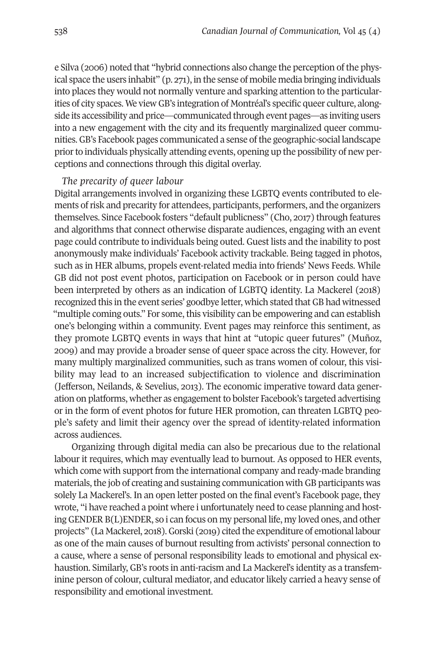e Silva (2006) noted that "hybrid connections also change the perception of the physical space the users inhabit" (p. 271), in the sense of mobile media bringing individuals into places they would not normally venture and sparking attention to the particularities of city spaces. We view GB's integration of Montréal's specific queer culture, alongside its accessibility and price—communicated through event pages—as inviting users into a new engagement with the city and its frequently marginalized queer communities.GB's Facebook pages communicated a sense ofthe geographic-social landscape priorto individuals physically attending events, opening up the possibility of new perceptions and connections through this digital overlay.

# *The precarity of queer labour*

Digital arrangements involved in organizing these LGBTQ events contributed to elements of risk and precarity for attendees, participants, performers, and the organizers themselves. Since Facebook fosters "default publicness" (Cho, 2017) through features and algorithms that connect otherwise disparate audiences, engaging with an event page could contribute to individuals being outed. Guest lists and the inability to post anonymously make individuals' Facebook activity trackable. Being tagged in photos, such as in HER albums, propels event-related media into friends' News Feeds. While GB did not post event photos, participation on Facebook or in person could have been interpreted by others as an indication of LGBTQ identity. La Mackerel (2018) recognized this in the event series' goodbye letter, which stated that GB had witnessed "multiple coming outs." For some, this visibility can be empowering and can establish one's belonging within a community. Event pages may reinforce this sentiment, as they promote LGBTQ events in ways that hint at "utopic queer futures" (Muñoz, 2009) and may provide a broader sense of queer space across the city. However, for many multiply marginalized communities, such as trans women of colour, this visibility may lead to an increased subjectification to violence and discrimination (Jefferson, Neilands, & Sevelius, 2013). The economic imperative toward data generation on platforms, whether as engagement to bolster Facebook's targeted advertising or in the form of event photos for future HER promotion, can threaten LGBTQ people's safety and limit their agency over the spread of identity-related information across audiences.

Organizing through digital media can also be precarious due to the relational labour it requires, which may eventually lead to burnout. As opposed to HER events, which come with support from the international company and ready-made branding materials, the job of creating and sustaining communication with GB participants was solely La Mackerel's. In an open letter posted on the final event's Facebook page, they wrote, "i have reached a point where i unfortunately need to cease planning and hostingGENDER B(L)ENDER, so i can focus on my personal life, my loved ones, and other projects" (La Mackerel, 2018).Gorski (2019) cited the expenditure of emotional labour as one of the main causes of burnout resulting from activists' personal connection to a cause, where a sense of personal responsibility leads to emotional and physical exhaustion. Similarly, GB's roots in anti-racism and La Mackerel's identity as a transfeminine person of colour, cultural mediator, and educator likely carried a heavy sense of responsibility and emotional investment.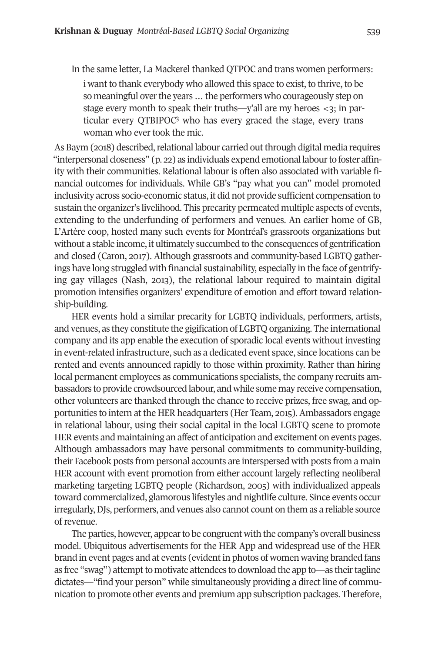In the same letter, La Mackerel thanked QTPOC and trans women performers:

i want to thank everybody who allowed this space to exist, to thrive, to be so meaningful over the years ... the performers who courageously step on stage every month to s[pe](#page-16-2)ak their truths—y'all are my heroes <3; in particular every QTBIPOC3 who has every graced the stage, every trans woman who ever took the mic.

As Baym (2018) described, relational labour carried out through digital media requires "interpersonal closeness" (p. 22) as individuals expend emotional labourto foster affinity with their communities. Relational labour is often also associated with variable financial outcomes for individuals. While GB's "pay what you can" model promoted inclusivity across socio-economic status, it did not provide sufficient compensation to sustain the organizer's livelihood. This precarity permeated multiple aspects of events, extending to the underfunding of performers and venues. An earlier home of GB, L'Artère coop, hosted many such events for Montréal's grassroots organizations but without a stable income, it ultimately succumbed to the consequences of gentrification and closed (Caron, 2017). Although grassroots and community-based LGBTQ gatherings have long struggled with financial sustainability, especially in the face of gentrifying gay villages (Nash, 2013), the relational labour required to maintain digital promotion intensifies organizers' expenditure of emotion and effort toward relationship-building.

HER events hold a similar precarity for LGBTQ individuals, performers, artists, and venues, as they constitute the gigification of LGBTQ organizing. The international company and its app enable the execution of sporadic local events without investing in event-related infrastructure, such as a dedicated event space, since locations can be rented and events announced rapidly to those within proximity. Rather than hiring local permanent employees as communications specialists, the company recruits ambassadors to provide crowdsourced labour, and while some may receive compensation, other volunteers are thanked through the chance to receive prizes, free swag, and opportunities to intern at the HER headquarters (Her Team, 2014). Ambassadors engage in relational labour, using their social capital in the local LGBTQ scene to promote HER events and maintaining an affect of anticipation and excitement on events pages. Although ambassadors may have personal commitments to community-building, their Facebook posts from personal accounts are interspersed with posts from a main HER account with event promotion from either account largely reflecting neoliberal marketing targeting LGBTQ people (Richardson, 2004) with individualized appeals toward commercialized, glamorous lifestyles and nightlife culture. Since events occur irregularly,DJs, performers, and venues also cannot count on them as a reliable source of revenue.

The parties, however, appearto be congruent with the company's overall business model. Ubiquitous advertisements for the HER App and widespread use of the HER brand in event pages and at events (evidentin photos of women waving branded fans as free "swag") attempt to motivate attendees to download the app to—as their tagline dictates—"find your person" while simultaneously providing a direct line of communication to promote other events and premium app subscription packages. Therefore,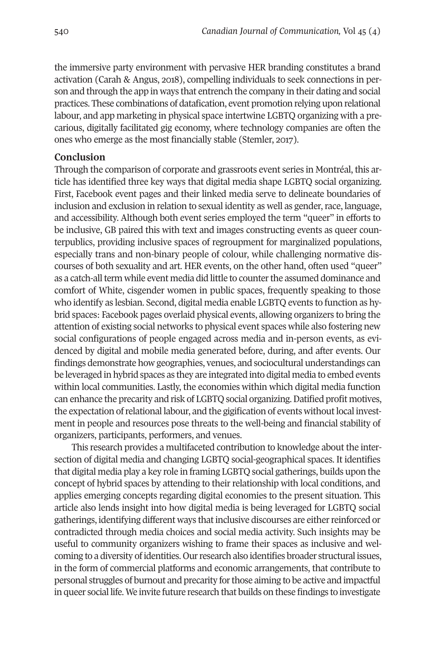the immersive party environment with pervasive HER branding constitutes a brand activation (Carah & Angus, 2018), compelling individuals to seek connections in person and through the app in ways that entrench the company in their dating and social practices. These combinations of datafication, event promotion relying upon relational labour, and app marketing in physical space intertwine LGBTQ organizing with a precarious, digitally facilitated gig economy, where technology companies are often the ones who emerge as the most financially stable (Stemler, 2017).

# **Conclusion**

Through the comparison of corporate and grassroots event series in Montréal, this article has identified three key ways that digital media shape LGBTQ social organizing. First, Facebook event pages and their linked media serve to delineate boundaries of inclusion and exclusion in relation to sexual identity as well as gender, race, language, and accessibility. Although both event series employed the term "queer" in efforts to be inclusive, GB paired this with text and images constructing events as queer counterpublics, providing inclusive spaces of regroupment for marginalized populations, especially trans and non-binary people of colour, while challenging normative discourses of both sexuality and art. HER events, on the other hand, often used "queer" as a catch-all term while event media did little to counter the assumed dominance and comfort of White, cisgender women in public spaces, frequently speaking to those who identify as lesbian. Second, digital media enable LGBTQ events to function as hybrid spaces: Facebook pages overlaid physical events, allowing organizers to bring the attention of existing social networks to physical event spaces while also fostering new social configurations of people engaged across media and in-person events, as evidenced by digital and mobile media generated before, during, and after events. Our findings demonstrate how geographies, venues, and sociocultural understandings can be leveraged in hybrid spaces as they are integrated into digital media to embed events within local communities. Lastly, the economies within which digital media function can enhance the precarity and risk of LGBTQ social organizing.Datified profit motives, the expectation of relational labour, and the gigification of events without local investment in people and resources pose threats to the well-being and financial stability of organizers, participants, performers, and venues.

This research provides a multifaceted contribution to knowledge about the intersection of digital media and changing LGBTQ social-geographical spaces. It identifies that digital media play a key role in framing LGBTQ social gatherings, builds upon the concept of hybrid spaces by attending to their relationship with local conditions, and applies emerging concepts regarding digital economies to the present situation. This article also lends insight into how digital media is being leveraged for LGBTQ social gatherings, identifying different ways that inclusive discourses are either reinforced or contradicted through media choices and social media activity. Such insights may be useful to community organizers wishing to frame their spaces as inclusive and welcoming to a diversity of identities. Our research also identifies broader structural issues, in the form of commercial platforms and economic arrangements, that contribute to personal struggles of burnout and precarity for those aiming to be active and impactful in queer social life. We invite future research that builds on these findings to investigate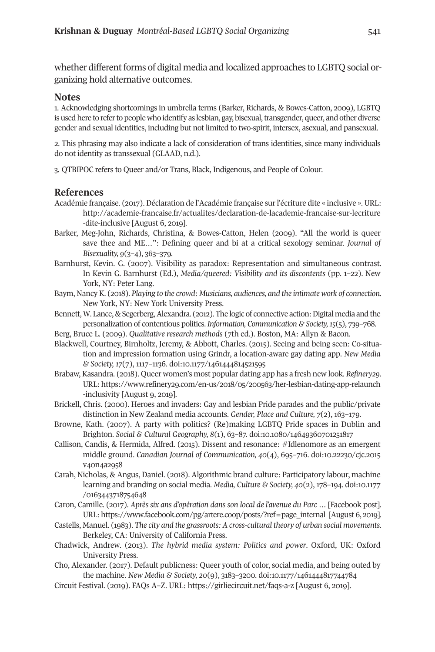whether different forms of digital media and localized approaches to LGBTQ social organizing hold alternative outcomes.

#### **Notes**

<span id="page-16-0"></span>1. Acknowledging shortcomings in umbrella terms (Barker, Richards, & Bowes-Catton, 2009), LGBTQ is used here to refer to people who identify as lesbian, gay, bisexual, transgender, queer, and other diverse gender and sexual identities, including but not limited to two-spirit, intersex, asexual, and pansexual.

2. This phrasing may also indicate a lack of consideration of trans identities, since many individuals do not identity as transsexual (GLAAD, n.d.).

<span id="page-16-2"></span><span id="page-16-1"></span>3. QTBIPOC refers to Queer and/or Trans, Black, Indigenous, and People of Colour.

### **References**

- Académie française. (2017). Déclaration de l'Académie française sur l'écriture dite « inclusive ». URL: [http://academie-francaise.fr/actualites/declaration-de-lacademie-francaise-sur-lecriture](http://academie-francaise.fr/actualites/declaration-de-lacademie-francaise-sur-lecriture-dite-inclusive) [-dite-inclusive](http://academie-francaise.fr/actualites/declaration-de-lacademie-francaise-sur-lecriture-dite-inclusive) [August 6, 2019].
- Barker, Meg-John, Richards, Christina, & Bowes-Catton, Helen (2009). "All the world is queer save thee and ME…": Defining queer and bi at a critical sexology seminar. *Journal of Bisexuality, 9*(3–4), 363–379.
- Barnhurst, Kevin. G. (2007). Visibility as paradox: Representation and simultaneous contrast. In Kevin G. Barnhurst (Ed.), *Media/queered: Visibility and its discontents* (pp. 1–22). New York, NY: Peter Lang.
- Baym, Nancy K. (2018). *Playing to the crowd: Musicians, audiences, and the intimate work of connection*. New York, NY: New York University Press.
- Bennett, W. Lance, & Segerberg, Alexandra. (2012). The logic of connective action: Digital media and the personalization of contentious politics. *Information, Communication & Society,15*(4), 739–768.
- Berg, Bruce L. (2009). *Qualitative research methods* (7th ed.). Boston, MA: Allyn & Bacon.
- Blackwell, Courtney, Birnholtz, Jeremy, & Abbott, Charles. (2014). Seeing and being seen: Co-situation and impression formation using Grindr, a location-aware gay dating app. *New Media & Society, 17*(7), 1117–1136. doi[:10.1177/1461444814421494](http://doi.org/10.1177/146144481452159)
- Brabaw, Kasandra. (2018). Queer women's most popular dating app has a fresh new look. *Refinery29*. URL: https://www.refinery29.com/en-us/2018/05/200563/her-lesbian-dating-app-relaunch [-inclusivity](https://www.refinery29.com/en-us/2018/05/200563/her-lesbian-dating-app-relaunch-inclusivity) [August 9, 2019].
- Brickell, Chris. (2000). Heroes and invaders: Gay and lesbian Pride parades and the public/private distinction in New Zealand media accounts. *Gender, Place and Culture, 7*(2), 163–179.
- Browne, Kath. (2007). A party with politics? (Re)making LGBTQ Pride spaces in Dublin and Brighton. *Social & Cultural Geography, 8*(1), 63–87. doi[:10.1080/14649360701241817](http://doi.org/10.1080/14649360701251817)
- Callison, Candis, & Hermida, Alfred. (2014). Dissent and resonance: #Idlenomore as an emergent middle ground. *Canadian Journal of Communication, 40*(4), 694–716. doi[:10.22230/cjc.2014](http://doi.org/10.22230/cjc.2015v40n4a2958) v<sub>4</sub>on<sub>4</sub>a<sub>295</sub>8
- Carah, Nicholas, & Angus, Daniel. (2018). Algorithmic brand culture: Participatory labour, machine learning and branding on social media. *Media, Culture & Society, 40*(2), 178–194. doi[:10.1177](http://doi.org/10.1177/0163443718754648) [/0163443718744648](http://doi.org/10.1177/0163443718754648)
- Caron, Camille. (2017). *Après six ans d'opération dans son local de l'avenue du Parc …* [Facebook post]. URL: [https://www.facebook.com/pg/artere.coop/posts/?ref=page\\_internal](https://www.facebook.com/pg/artere.coop/posts/?ref=page_internal  ) [August 6, 2019].
- Castells, Manuel. (1983). *The city and the grassroots: A cross-cultural theory of urban social movements*. Berkeley, CA: University of California Press.
- Chadwick, Andrew. (2013). *The hybrid media system: Politics and power*. Oxford, UK: Oxford University Press.
- Cho, Alexander. (2017). Default publicness: Queer youth of color, social media, and being outed by the machine. *New Media & Society, 20*(9), 3183–3200*.* doi[:10.1177/1461444817744784](http://doi.org/10.1177/1461444817744784)
- Circuit Festival. (2019). FAQs A–Z. URL: <https://girliecircuit.net/faqs-a-z> [August 6, 2019].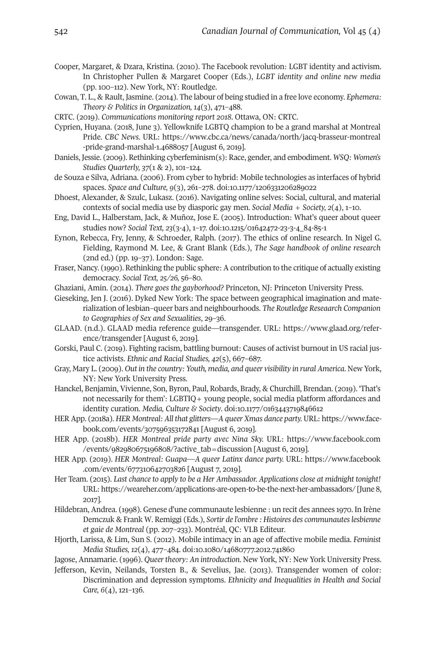- Cooper, Margaret, & Dzara, Kristina. (2010). The Facebook revolution: LGBT identity and activism. In Christopher Pullen & Margaret Cooper (Eds.), *LGBT identity and online new media* (pp. 100–112). New York, NY: Routledge.
- Cowan, T. L., & Rault, Jasmine. (2014). The labour of being studied in a free love economy. *Ephemera: Theory & Politics in Organization, 14*(3), 471–488.
- CRTC. (2019). *Communications monitoring report 2018*. Ottawa, ON: CRTC.
- Cyprien, Huyana. (2018, June 3). Yellowknife LGBTQ champion to be a grand marshal at Montreal Pride. *CBC News*. URL: [https://www.cbc.ca/news/canada/north/jacq-brasseur-montreal](https://www.cbc.ca/news/canada/north/jacq-brasseur-montreal-pride-grand-marshal-1.4688057) -pride-grand-marshal-1.4688057 [August 6, 2019].
- Daniels, Jessie. (2009). Rethinking cyberfeminism(s): Race, gender, and embodiment. *WSQ: Women's Studies Quarterly, 37*(1 & 2), 101–124.
- de Souza e Silva, Adriana. (2006). From cyber to hybrid: Mobile technologies as interfaces of hybrid spaces. *Space and Culture, 9*(3), 261–278. doi[:10.1177/1206331206289022](http://doi.org/10.1177/1206331206289022)
- Dhoest, Alexander, & Szulc, Lukasz. (2016). Navigating online selves: Social, cultural, and material contexts of social media use by diasporic gay men. *Social Media + Society, 2*(4), 1–10.
- Eng, David L., Halberstam, Jack, & Muñoz, Jose E. (2004). Introduction: What's queer about queer studies now? *Social Text, 23*(3-4), 1–17. doi[:10.1214/01642472-23-3-4\\_84-84-1](http://doi.org/10.1215/01642472-23-3-4_84-85-1)
- Eynon, Rebecca, Fry, Jenny, & Schroeder, Ralph. (2017). The ethics of online research. In Nigel G. Fielding, Raymond M. Lee, & Grant Blank (Eds.), *The Sage handbook of online research* (2nd ed.) (pp. 19–37). London: Sage.
- Fraser, Nancy. (1990). Rethinking the public sphere: A contribution to the critique of actually existing democracy. *Social Text, 25/26,* 46–80.
- Ghaziani, Amin. (2014). *There goes the gayborhood?* Princeton, NJ: Princeton University Press.
- Gieseking, Jen J. (2016). Dyked New York: The space between geographical imagination and materialization of lesbian–queer bars and neighbourhoods. *The Routledge Reseaarch Companion to Geographies of Sex and Sexualities*, 29–36.
- GLAAD. (n.d.). GLAAD media reference guide—transgender. URL: [https://www.glaad.org/refer](https://www.glaad.org/reference/transgender)[ence/transgender](https://www.glaad.org/reference/transgender) [August 6, 2019].
- Gorski, Paul C. (2019). Fighting racism, battling burnout: Causes of activist burnout in US racial justice activists. *Ethnic and Racial Studies*,  $42(5)$ , 667-687.
- Gray, Mary L. (2009). *Out in the country: Youth, media, and queer visibility in rural America*. New York, NY: New York University Press.
- Hanckel, Benjamin, Vivienne, Son, Byron, Paul, Robards, Brady, & Churchill, Brendan. (2019). 'That's not necessarily for them': LGBTIQ+ young people, social media platform affordances and identity curation. *Media, Culture & Society*. doi[:10.1177/0163443719846612](http://doi.org/10.1177/0163443719846612)
- HER App. (2018a). *HER Montreal: All that glitters—A queer Xmas dance party.* URL: [https://www.face](https://www.facebook.com/events/307596353172841)book.com/events/307596353172841 [August 6, 2019].
- HER App. (2018b). *HER Montreal pride party avec Nina Sky.* URL: [https://www.facebook.com](https://www.facebook.com/events/982980675196808/?active_tab=discussion) /events/982980675196808/?active\_tab=discussion [August 6, 2019].
- HER App. (2019). *HER Montreal: Guapa—A queer Latinx dance party.* URL: [https://www.facebook](https://www.facebook.com/events/677310642703826) [.com/events/677310642703826](https://www.facebook.com/events/677310642703826) [August 7, 2019].
- Her Team. (2014). *Last chance to apply to be a Her Ambassador. Applications close at midnight tonight!* URL: <https://weareher.com/applications-are-open-to-be-the-next-her-ambassadors/> [June 8, 2017].
- Hildebran, Andrea. (1998). Genese d'une communaute lesbienne : un recit des annees 1970. In Irène Demczuk & Frank W. Remiggi (Eds.), *Sortir de l'ombre : Histoires des communauteslesbienne et gaie de Montreal* (pp. 207–233). Montréal, QC: VLB Editeur.
- Hjorth, Larissa, & Lim, Sun S. (2012). Mobile intimacy in an age of affective mobile media. *Feminist Media Studies, 12*(4), 477–484. doi[:10.1080/14680777.2012.741860](http://doi.org/10.1080/14680777.2012.741860)
- Jagose, Annamarie. (1996). *Queertheory: An introduction*. New York, NY: New York University Press.
- Jefferson, Kevin, Neilands, Torsten B., & Sevelius, Jae. (2013). Transgender women of color: Discrimination and depression symptoms. *Ethnicity and Inequalities in Health and Social Care, 6*(4), 121–136.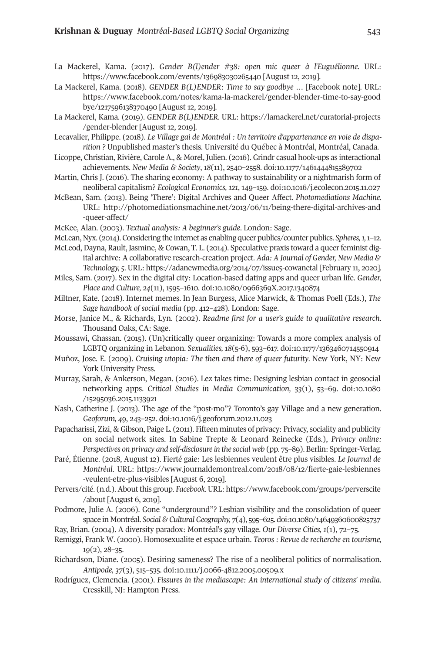- La Mackerel, Kama. (2017). *Gender B(l)ender #38: open mic queer à l'Euguélionne.* URL: [https://www.facebook.com/events/136983030264440](https://www.facebook.com/events/136983030265440) [August 12, 2019].
- La Mackerel, Kama. (2018). *GENDER B(L)ENDER: Time to say goodbye …* [Facebook note]. URL: [https://www.facebook.com/notes/kama-la-mackerel/gender-blender-time-to-say-good](http://doi.org/https://www.facebook.com/notes/kama-la-mackerel/gender-blender-time-to-say-goodbye/1217596138370490) [bye/1217496138370490](http://doi.org/https://www.facebook.com/notes/kama-la-mackerel/gender-blender-time-to-say-goodbye/1217596138370490) [August 12, 2019].
- La Mackerel, Kama. (2019). *GENDER B(L)ENDER.* URL: [https://lamackerel.net/curatorial-projects](https://lamackerel.net/curatorial-projects/gender-blender) [/gender-blender](https://lamackerel.net/curatorial-projects/gender-blender) [August 12, 2019].
- Lecavalier, Philippe. (2018). *Le Village gai de Montréal : Un territoire d'appartenance en voie de disparition ?* Unpublished master's thesis. Université du Québec à Montréal, Montréal, Canada.
- Licoppe, Christian, Rivière, Carole A., & Morel, Julien. (2016). Grindr casual hook-ups as interactional achievements. *New Media & Society*, *18*(11), 2440–2448. doi[:10.1177/1461444814489702](http://doi.org/10.1177/1461444815589702)
- Martin, Chris J. (2016). The sharing economy: A pathway to sustainability or a nightmarish form of neoliberal capitalism? *Ecological Economics, 121*, 149–149. doi[:10.1016/j.ecolecon.2014.11.027](http://doi.org/10.1016/j.ecolecon.2015.11.027)
- McBean, Sam. (2013). Being 'There': Digital Archives and Queer Affect. *Photomediations Machine.* URL: [http://photomediationsmachine.net/2013/06/11/being-there-digital-archives-and](http://photomediationsmachine.net/2013/06/11/being-there-digital-archives-and-queer-affect/) [-queer-affect/](http://photomediationsmachine.net/2013/06/11/being-there-digital-archives-and-queer-affect/)
- McKee, Alan. (2003). *Textual analysis: A beginner's guide*. London: Sage.
- McLean, Nyx. (2014). Considering the internet as enabling queer publics/counter publics. *Spheres*, 1, 1–12.
- McLeod, Dayna, Rault, Jasmine, & Cowan, T. L. (2014). Speculative praxis toward a queerfeminist digital archive: A collaborative research-creation project. *Ada: A Journal of Gender, New Media &* Technology, 5. URL: https://adanewmedia.org/2014/07/issue5-cowanetal [February 11, 2020].
- Miles, Sam. (2017). Sex in the digital city: Location-based dating apps and queer urban life. *Gender, Place and Culture, 24*(11), 1494–1610. doi[:10.1080/0966369X.2017.1340874](http://doi.org/10.1080/0966369X.2017.1340874)
- Miltner, Kate. (2018). Internet memes. In Jean Burgess, Alice Marwick, & Thomas Poell (Eds.), *The Sage handbook of social media* (pp. 412–428). London: Sage.
- Morse, Janice M., & Richards, Lyn. (2002). *Readme first for a user's guide to qualitative research*. Thousand Oaks, CA: Sage.
- Moussawi, Ghassan. (2014). (Un)critically queer organizing: Towards a more complex analysis of LGBTQ organizing in Lebanon. *Sexualities*,  $18(5-6)$ , 593-617. doi:10.1177/1363460714550914
- Muñoz, Jose. E. (2009). *Cruising utopia: The then and there of queer futurity*. New York, NY: New York University Press.
- Murray, Sarah, & Ankerson, Megan. (2016). Lez takes time: Designing lesbian contact in geosocial networking apps. *Critical Studies in Media Communication, 33*(1), 43–69. doi[:10.1080](https://doi.org/10.1080/15295036.2015.1133921) /15295036.2015.1133921
- Nash, Catherine J. (2013). The age of the "post-mo"? Toronto's gay Village and a new generation. *Geoforum, 49*, 243–242. doi[:10.1016/j.geoforum.2012.11.023](https://doi.org/10.1016/j.geoforum.2012.11.023)
- Papacharissi, Zizi, & Gibson, Paige L. (2011). Fifteen minutes of privacy: Privacy, sociality and publicity on social network sites. In Sabine Trepte & Leonard Reinecke (Eds.), *Privacy online: Perspectives on privacy and self-disclosure in the social web* (pp. 74–89). Berlin: Springer-Verlag.
- Paré, Étienne. (2018, August 12). Fierté gaie: Les lesbiennes veulent être plus visibles. *Le Journal de Montréal*. URL: [https://www.journaldemontreal.com/2018/08/12/fierte-gaie-lesbiennes](https://www.journaldemontreal.com/2018/08/12/fierte-gaie-lesbiennes-veulent-etre-plus-visibles) [-veulent-etre-plus-visibles](https://www.journaldemontreal.com/2018/08/12/fierte-gaie-lesbiennes-veulent-etre-plus-visibles) [August 6, 2019].
- Pervers/cité. (n.d.). About this group. *Facebook.* URL: [https://www.facebook.com/groups/perverscite](https://www.facebook.com/groups/perverscite/about) [/about](https://www.facebook.com/groups/perverscite/about) [August 6, 2019].
- Podmore, Julie A. (2006). Gone "underground"? Lesbian visibility and the consolidation of queer space in Montréal. *Social & CulturalGeography, 7*(4), 494–624. doi[:10.1080/14649360600824737](https://doi.org/10.1080/14649360600825737)
- Ray, Brian. (2004). A diversity paradox: Montréal's gay village. *Our Diverse Cities, 1*(1), 72–74.
- Remiggi, Frank W. (2000). Homosexualite et espace urbain. *Teoros : Revue de recherche en tourisme, 19*(2), 28–34.
- Richardson, Diane. (2004). Desiring sameness? The rise of a neoliberal politics of normalisation. *Antipode, 37(3), 515-535. doi:10.1111/j.0066-4812.2005.00509.x*
- Rodríguez, Clemencia. (2001). *Fissures in the mediascape: An international study of citizens' media*. Cresskill, NJ: Hampton Press.